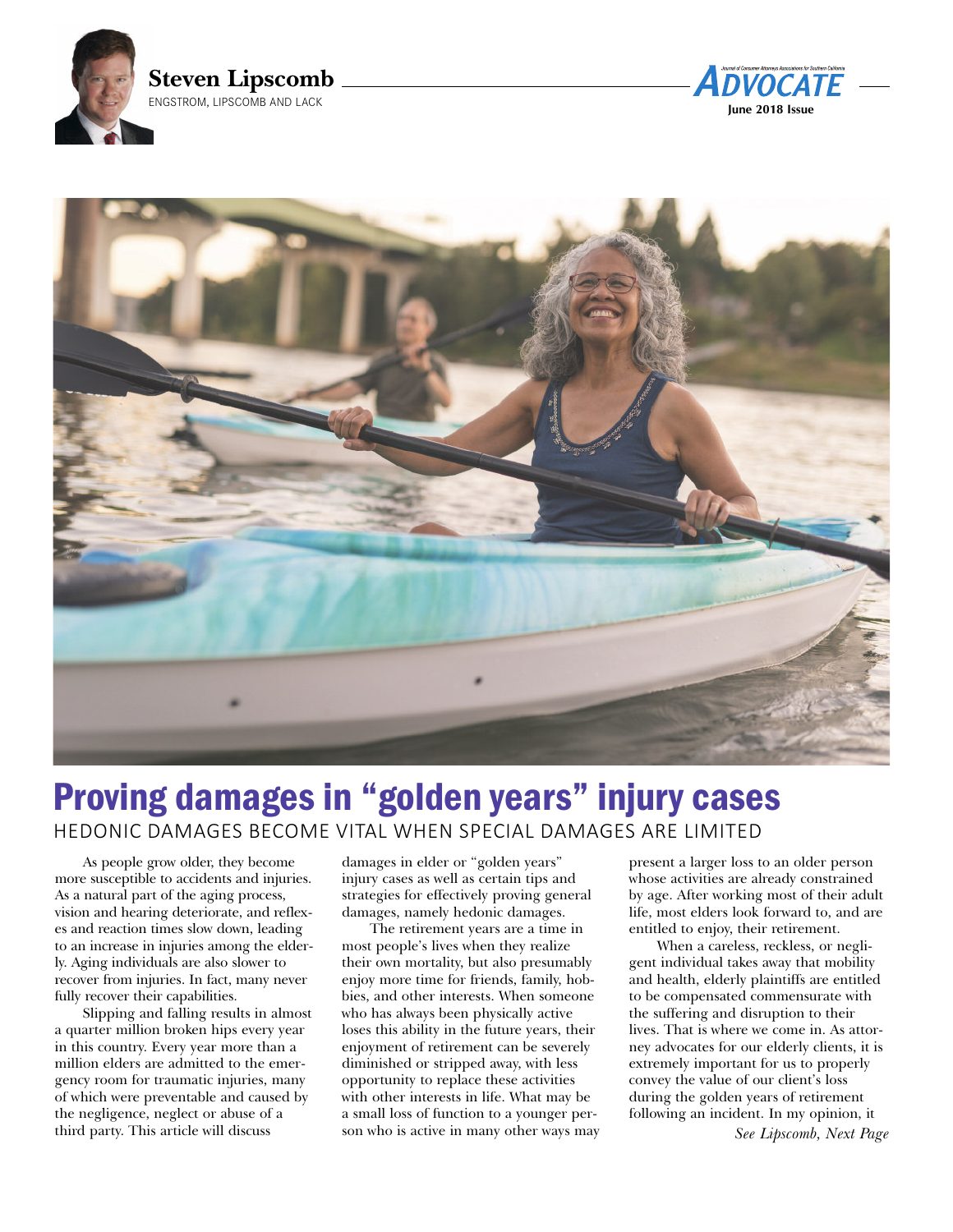





# Proving damages in "golden years" injury cases HEDONIC DAMAGES BECOME VITAL WHEN SPECIAL DAMAGES ARE LIMITED

As people grow older, they become more susceptible to accidents and injuries. As a natural part of the aging process, vision and hearing deteriorate, and reflexes and reaction times slow down, leading to an increase in injuries among the elderly. Aging individuals are also slower to recover from injuries. In fact, many never fully recover their capabilities.

Slipping and falling results in almost a quarter million broken hips every year in this country. Every year more than a million elders are admitted to the emergency room for traumatic injuries, many of which were preventable and caused by the negligence, neglect or abuse of a third party. This article will discuss

damages in elder or "golden years" injury cases as well as certain tips and strategies for effectively proving general damages, namely hedonic damages.

The retirement years are a time in most people's lives when they realize their own mortality, but also presumably enjoy more time for friends, family, hobbies, and other interests. When someone who has always been physically active loses this ability in the future years, their enjoyment of retirement can be severely diminished or stripped away, with less opportunity to replace these activities with other interests in life. What may be a small loss of function to a younger person who is active in many other ways may

present a larger loss to an older person whose activities are already constrained by age. After working most of their adult life, most elders look forward to, and are entitled to enjoy, their retirement.

When a careless, reckless, or negligent individual takes away that mobility and health, elderly plaintiffs are entitled to be compensated commensurate with the suffering and disruption to their lives. That is where we come in. As attorney advocates for our elderly clients, it is extremely important for us to properly convey the value of our client's loss during the golden years of retirement following an incident. In my opinion, it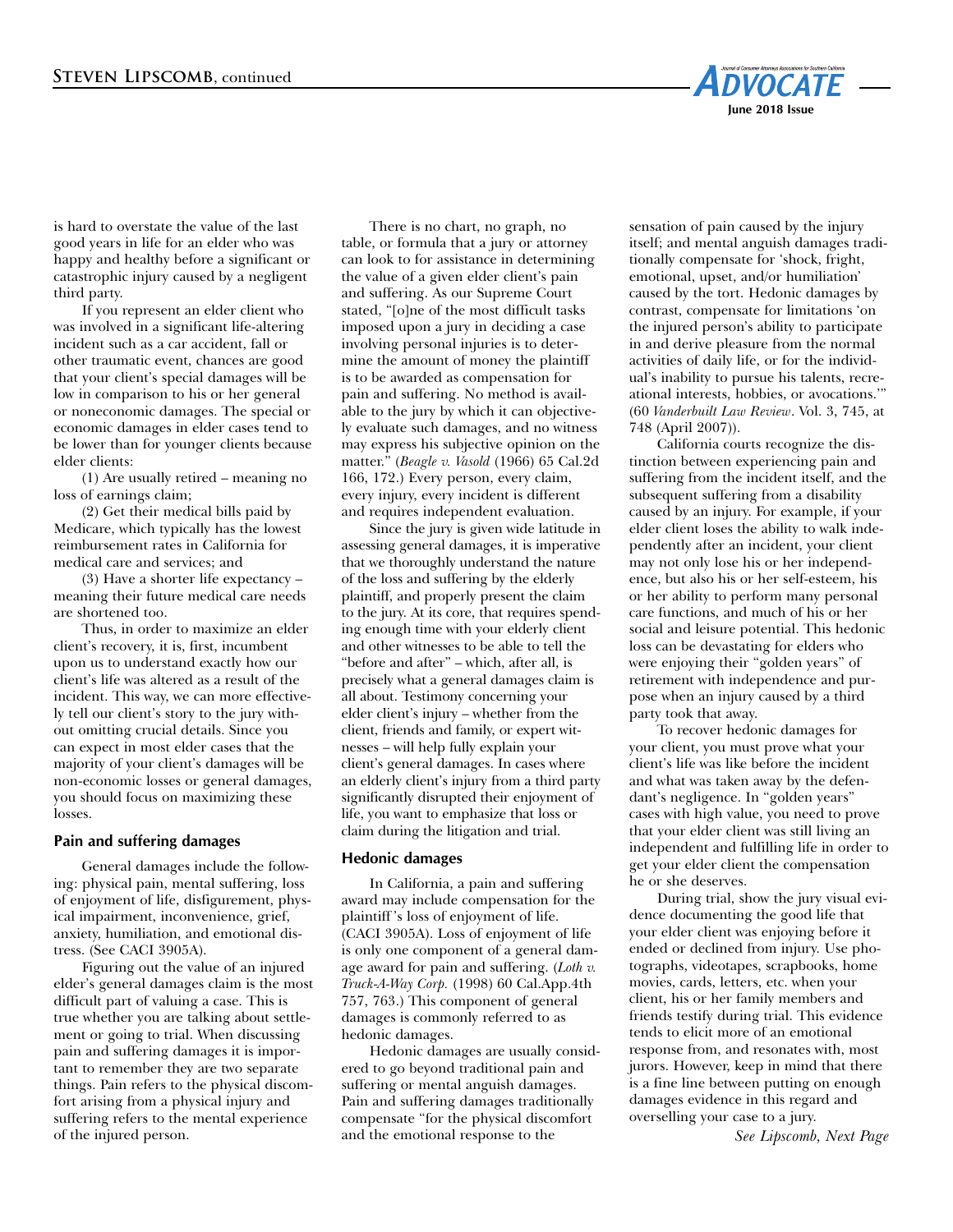

is hard to overstate the value of the last good years in life for an elder who was happy and healthy before a significant or catastrophic injury caused by a negligent third party.

If you represent an elder client who was involved in a significant life-altering incident such as a car accident, fall or other traumatic event, chances are good that your client's special damages will be low in comparison to his or her general or noneconomic damages. The special or economic damages in elder cases tend to be lower than for younger clients because elder clients:

(1) Are usually retired – meaning no loss of earnings claim;

(2) Get their medical bills paid by Medicare, which typically has the lowest reimbursement rates in California for medical care and services; and

(3) Have a shorter life expectancy – meaning their future medical care needs are shortened too.

Thus, in order to maximize an elder client's recovery, it is, first, incumbent upon us to understand exactly how our client's life was altered as a result of the incident. This way, we can more effectively tell our client's story to the jury without omitting crucial details. Since you can expect in most elder cases that the majority of your client's damages will be non-economic losses or general damages, you should focus on maximizing these losses.

### **Pain and suffering damages**

General damages include the following: physical pain, mental suffering, loss of enjoyment of life, disfigurement, physical impairment, inconvenience, grief, anxiety, humiliation, and emotional distress. (See CACI 3905A).

Figuring out the value of an injured elder's general damages claim is the most difficult part of valuing a case. This is true whether you are talking about settlement or going to trial. When discussing pain and suffering damages it is important to remember they are two separate things. Pain refers to the physical discomfort arising from a physical injury and suffering refers to the mental experience of the injured person.

There is no chart, no graph, no table, or formula that a jury or attorney can look to for assistance in determining the value of a given elder client's pain and suffering. As our Supreme Court stated, "[o]ne of the most difficult tasks imposed upon a jury in deciding a case involving personal injuries is to determine the amount of money the plaintiff is to be awarded as compensation for pain and suffering. No method is available to the jury by which it can objectively evaluate such damages, and no witness may express his subjective opinion on the matter." (*Beagle v. Vasold* (1966) 65 Cal.2d 166, 172.) Every person, every claim, every injury, every incident is different and requires independent evaluation.

Since the jury is given wide latitude in assessing general damages, it is imperative that we thoroughly understand the nature of the loss and suffering by the elderly plaintiff, and properly present the claim to the jury. At its core, that requires spending enough time with your elderly client and other witnesses to be able to tell the "before and after" – which, after all, is precisely what a general damages claim is all about. Testimony concerning your elder client's injury – whether from the client, friends and family, or expert witnesses – will help fully explain your client's general damages. In cases where an elderly client's injury from a third party significantly disrupted their enjoyment of life, you want to emphasize that loss or claim during the litigation and trial.

#### **Hedonic damages**

In California, a pain and suffering award may include compensation for the plaintiff 's loss of enjoyment of life. (CACI 3905A). Loss of enjoyment of life is only one component of a general damage award for pain and suffering. (*Loth v. Truck-A-Way Corp.* (1998) 60 Cal.App.4th 757, 763.) This component of general damages is commonly referred to as hedonic damages.

Hedonic damages are usually considered to go beyond traditional pain and suffering or mental anguish damages. Pain and suffering damages traditionally compensate "for the physical discomfort and the emotional response to the

sensation of pain caused by the injury itself; and mental anguish damages traditionally compensate for 'shock, fright, emotional, upset, and/or humiliation' caused by the tort. Hedonic damages by contrast, compensate for limitations 'on the injured person's ability to participate in and derive pleasure from the normal activities of daily life, or for the individual's inability to pursue his talents, recreational interests, hobbies, or avocations.'" (60 *Vanderbuilt Law Review*. Vol. 3, 745, at 748 (April 2007)).

California courts recognize the distinction between experiencing pain and suffering from the incident itself, and the subsequent suffering from a disability caused by an injury. For example, if your elder client loses the ability to walk independently after an incident, your client may not only lose his or her independence, but also his or her self-esteem, his or her ability to perform many personal care functions, and much of his or her social and leisure potential. This hedonic loss can be devastating for elders who were enjoying their "golden years" of retirement with independence and purpose when an injury caused by a third party took that away.

To recover hedonic damages for your client, you must prove what your client's life was like before the incident and what was taken away by the defendant's negligence. In "golden years" cases with high value, you need to prove that your elder client was still living an independent and fulfilling life in order to get your elder client the compensation he or she deserves.

During trial, show the jury visual evidence documenting the good life that your elder client was enjoying before it ended or declined from injury. Use photographs, videotapes, scrapbooks, home movies, cards, letters, etc. when your client, his or her family members and friends testify during trial. This evidence tends to elicit more of an emotional response from, and resonates with, most jurors. However, keep in mind that there is a fine line between putting on enough damages evidence in this regard and overselling your case to a jury.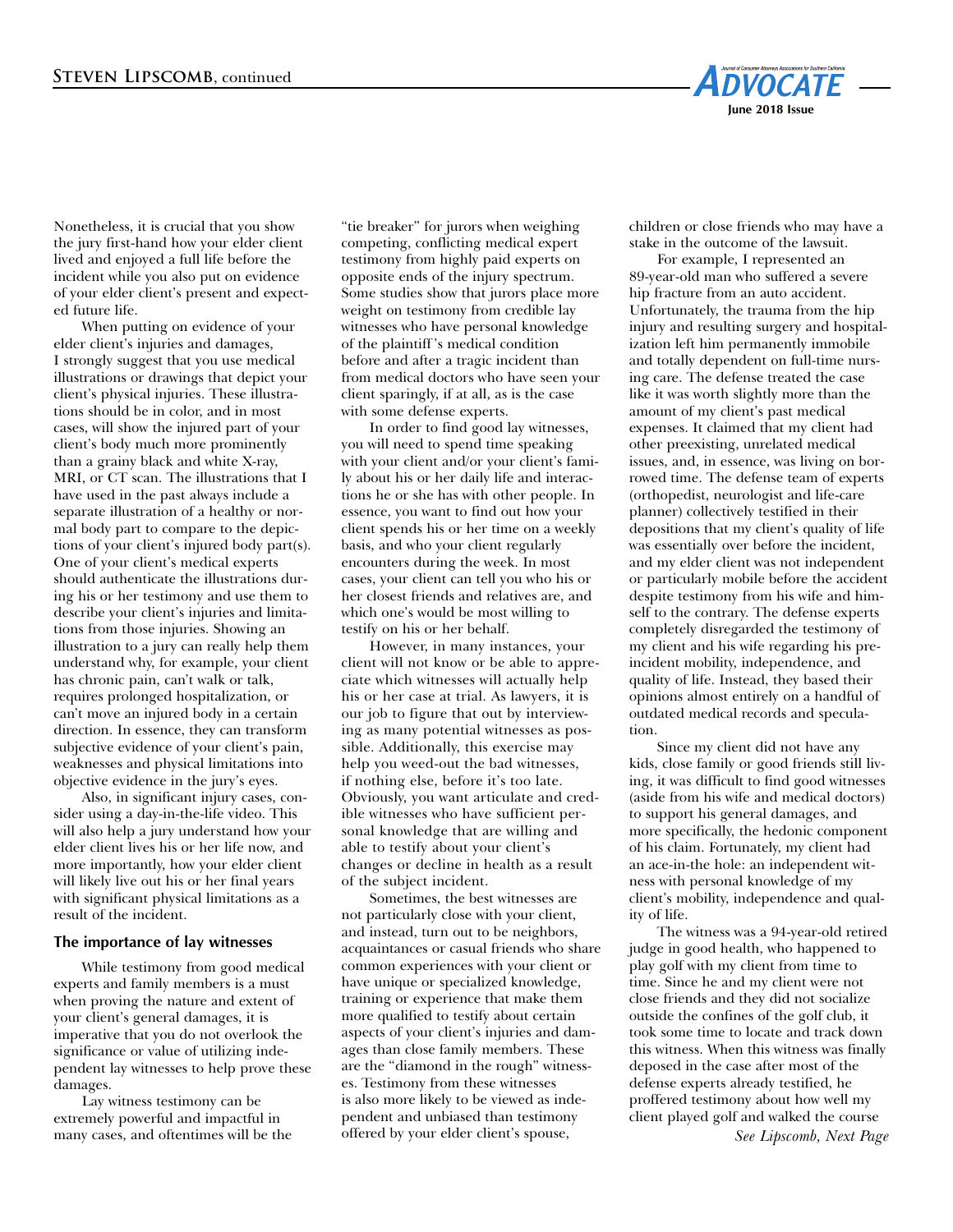

Nonetheless, it is crucial that you show the jury first-hand how your elder client lived and enjoyed a full life before the incident while you also put on evidence of your elder client's present and expected future life.

When putting on evidence of your elder client's injuries and damages, I strongly suggest that you use medical illustrations or drawings that depict your client's physical injuries. These illustrations should be in color, and in most cases, will show the injured part of your client's body much more prominently than a grainy black and white X-ray, MRI, or CT scan. The illustrations that I have used in the past always include a separate illustration of a healthy or normal body part to compare to the depictions of your client's injured body part(s). One of your client's medical experts should authenticate the illustrations during his or her testimony and use them to describe your client's injuries and limitations from those injuries. Showing an illustration to a jury can really help them understand why, for example, your client has chronic pain, can't walk or talk, requires prolonged hospitalization, or can't move an injured body in a certain direction. In essence, they can transform subjective evidence of your client's pain, weaknesses and physical limitations into objective evidence in the jury's eyes.

Also, in significant injury cases, consider using a day-in-the-life video. This will also help a jury understand how your elder client lives his or her life now, and more importantly, how your elder client will likely live out his or her final years with significant physical limitations as a result of the incident.

#### **The importance of lay witnesses**

While testimony from good medical experts and family members is a must when proving the nature and extent of your client's general damages, it is imperative that you do not overlook the significance or value of utilizing independent lay witnesses to help prove these damages.

Lay witness testimony can be extremely powerful and impactful in many cases, and oftentimes will be the

"tie breaker" for jurors when weighing competing, conflicting medical expert testimony from highly paid experts on opposite ends of the injury spectrum. Some studies show that jurors place more weight on testimony from credible lay witnesses who have personal knowledge of the plaintiff 's medical condition before and after a tragic incident than from medical doctors who have seen your client sparingly, if at all, as is the case with some defense experts.

In order to find good lay witnesses, you will need to spend time speaking with your client and/or your client's family about his or her daily life and interactions he or she has with other people. In essence, you want to find out how your client spends his or her time on a weekly basis, and who your client regularly encounters during the week. In most cases, your client can tell you who his or her closest friends and relatives are, and which one's would be most willing to testify on his or her behalf.

However, in many instances, your client will not know or be able to appreciate which witnesses will actually help his or her case at trial. As lawyers, it is our job to figure that out by interviewing as many potential witnesses as possible. Additionally, this exercise may help you weed-out the bad witnesses, if nothing else, before it's too late. Obviously, you want articulate and credible witnesses who have sufficient personal knowledge that are willing and able to testify about your client's changes or decline in health as a result of the subject incident.

Sometimes, the best witnesses are not particularly close with your client, and instead, turn out to be neighbors, acquaintances or casual friends who share common experiences with your client or have unique or specialized knowledge, training or experience that make them more qualified to testify about certain aspects of your client's injuries and damages than close family members. These are the "diamond in the rough" witnesses. Testimony from these witnesses is also more likely to be viewed as independent and unbiased than testimony offered by your elder client's spouse,

children or close friends who may have a stake in the outcome of the lawsuit.

For example, I represented an 89-year-old man who suffered a severe hip fracture from an auto accident. Unfortunately, the trauma from the hip injury and resulting surgery and hospitalization left him permanently immobile and totally dependent on full-time nursing care. The defense treated the case like it was worth slightly more than the amount of my client's past medical expenses. It claimed that my client had other preexisting, unrelated medical issues, and, in essence, was living on borrowed time. The defense team of experts (orthopedist, neurologist and life-care planner) collectively testified in their depositions that my client's quality of life was essentially over before the incident, and my elder client was not independent or particularly mobile before the accident despite testimony from his wife and himself to the contrary. The defense experts completely disregarded the testimony of my client and his wife regarding his preincident mobility, independence, and quality of life. Instead, they based their opinions almost entirely on a handful of outdated medical records and speculation.

Since my client did not have any kids, close family or good friends still living, it was difficult to find good witnesses (aside from his wife and medical doctors) to support his general damages, and more specifically, the hedonic component of his claim. Fortunately, my client had an ace-in-the hole: an independent witness with personal knowledge of my client's mobility, independence and quality of life.

The witness was a 94-year-old retired judge in good health, who happened to play golf with my client from time to time. Since he and my client were not close friends and they did not socialize outside the confines of the golf club, it took some time to locate and track down this witness. When this witness was finally deposed in the case after most of the defense experts already testified, he proffered testimony about how well my client played golf and walked the course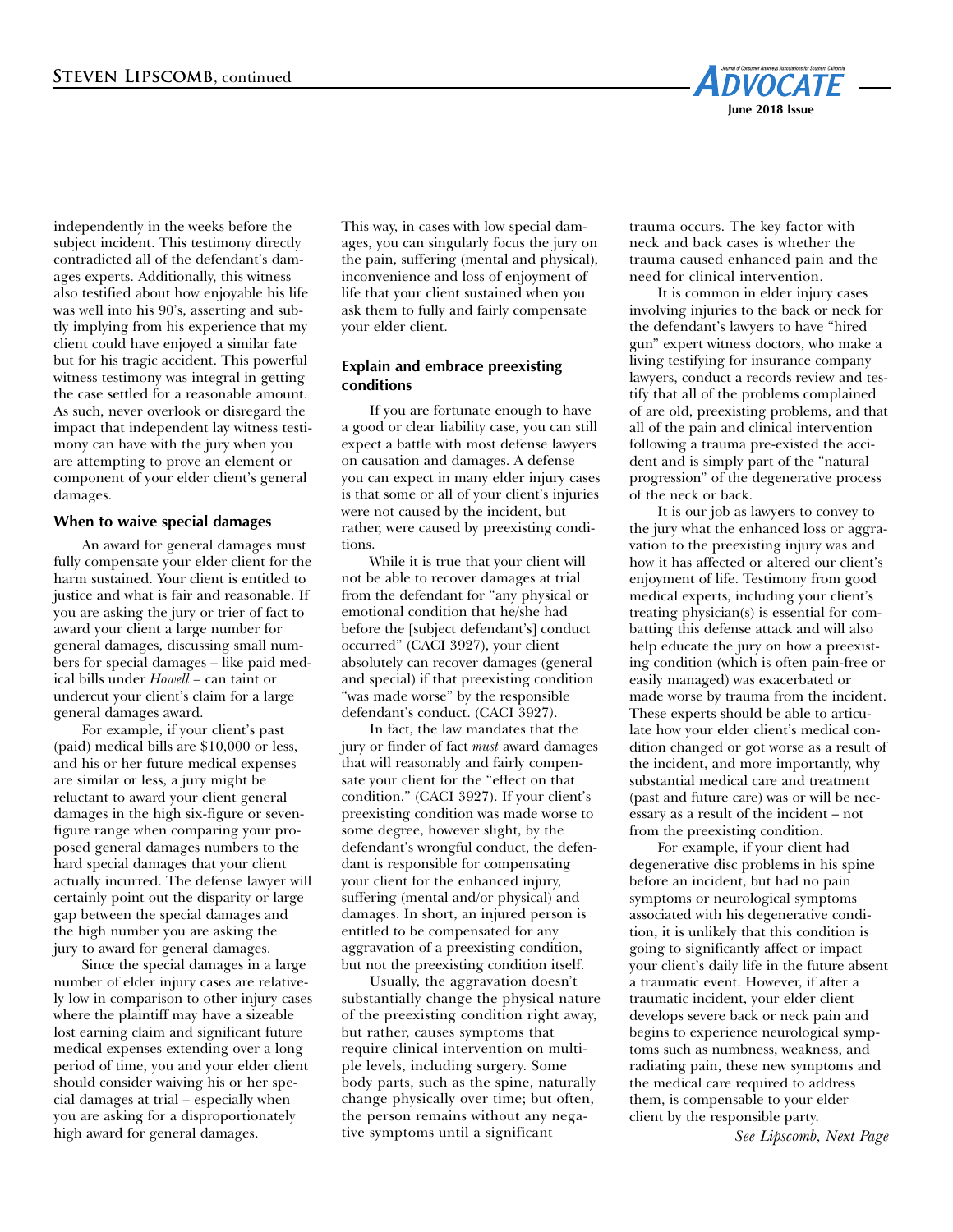

independently in the weeks before the subject incident. This testimony directly contradicted all of the defendant's damages experts. Additionally, this witness also testified about how enjoyable his life was well into his 90's, asserting and subtly implying from his experience that my client could have enjoyed a similar fate but for his tragic accident. This powerful witness testimony was integral in getting the case settled for a reasonable amount. As such, never overlook or disregard the impact that independent lay witness testimony can have with the jury when you are attempting to prove an element or component of your elder client's general damages.

# **When to waive special damages**

An award for general damages must fully compensate your elder client for the harm sustained. Your client is entitled to justice and what is fair and reasonable. If you are asking the jury or trier of fact to award your client a large number for general damages, discussing small numbers for special damages – like paid medical bills under *Howell –* can taint or undercut your client's claim for a large general damages award.

For example, if your client's past (paid) medical bills are \$10,000 or less, and his or her future medical expenses are similar or less, a jury might be reluctant to award your client general damages in the high six-figure or sevenfigure range when comparing your proposed general damages numbers to the hard special damages that your client actually incurred. The defense lawyer will certainly point out the disparity or large gap between the special damages and the high number you are asking the jury to award for general damages.

Since the special damages in a large number of elder injury cases are relatively low in comparison to other injury cases where the plaintiff may have a sizeable lost earning claim and significant future medical expenses extending over a long period of time, you and your elder client should consider waiving his or her special damages at trial – especially when you are asking for a disproportionately high award for general damages.

This way, in cases with low special damages, you can singularly focus the jury on the pain, suffering (mental and physical), inconvenience and loss of enjoyment of life that your client sustained when you ask them to fully and fairly compensate your elder client.

# **Explain and embrace preexisting conditions**

If you are fortunate enough to have a good or clear liability case, you can still expect a battle with most defense lawyers on causation and damages. A defense you can expect in many elder injury cases is that some or all of your client's injuries were not caused by the incident, but rather, were caused by preexisting conditions.

While it is true that your client will not be able to recover damages at trial from the defendant for "any physical or emotional condition that he/she had before the [subject defendant's] conduct occurred" (CACI 3927), your client absolutely can recover damages (general and special) if that preexisting condition "was made worse" by the responsible defendant's conduct. (CACI 3927*)*.

In fact, the law mandates that the jury or finder of fact *must* award damages that will reasonably and fairly compensate your client for the "effect on that condition." (CACI 3927). If your client's preexisting condition was made worse to some degree, however slight, by the defendant's wrongful conduct, the defendant is responsible for compensating your client for the enhanced injury, suffering (mental and/or physical) and damages. In short, an injured person is entitled to be compensated for any aggravation of a preexisting condition, but not the preexisting condition itself.

Usually, the aggravation doesn't substantially change the physical nature of the preexisting condition right away, but rather, causes symptoms that require clinical intervention on multiple levels, including surgery. Some body parts, such as the spine, naturally change physically over time; but often, the person remains without any negative symptoms until a significant

trauma occurs. The key factor with neck and back cases is whether the trauma caused enhanced pain and the need for clinical intervention.

It is common in elder injury cases involving injuries to the back or neck for the defendant's lawyers to have "hired gun" expert witness doctors, who make a living testifying for insurance company lawyers, conduct a records review and testify that all of the problems complained of are old, preexisting problems, and that all of the pain and clinical intervention following a trauma pre-existed the accident and is simply part of the "natural progression" of the degenerative process of the neck or back.

It is our job as lawyers to convey to the jury what the enhanced loss or aggravation to the preexisting injury was and how it has affected or altered our client's enjoyment of life. Testimony from good medical experts, including your client's treating physician(s) is essential for combatting this defense attack and will also help educate the jury on how a preexisting condition (which is often pain-free or easily managed) was exacerbated or made worse by trauma from the incident. These experts should be able to articulate how your elder client's medical condition changed or got worse as a result of the incident, and more importantly, why substantial medical care and treatment (past and future care) was or will be necessary as a result of the incident – not from the preexisting condition.

For example, if your client had degenerative disc problems in his spine before an incident, but had no pain symptoms or neurological symptoms associated with his degenerative condition, it is unlikely that this condition is going to significantly affect or impact your client's daily life in the future absent a traumatic event. However, if after a traumatic incident, your elder client develops severe back or neck pain and begins to experience neurological symptoms such as numbness, weakness, and radiating pain, these new symptoms and the medical care required to address them, is compensable to your elder client by the responsible party.